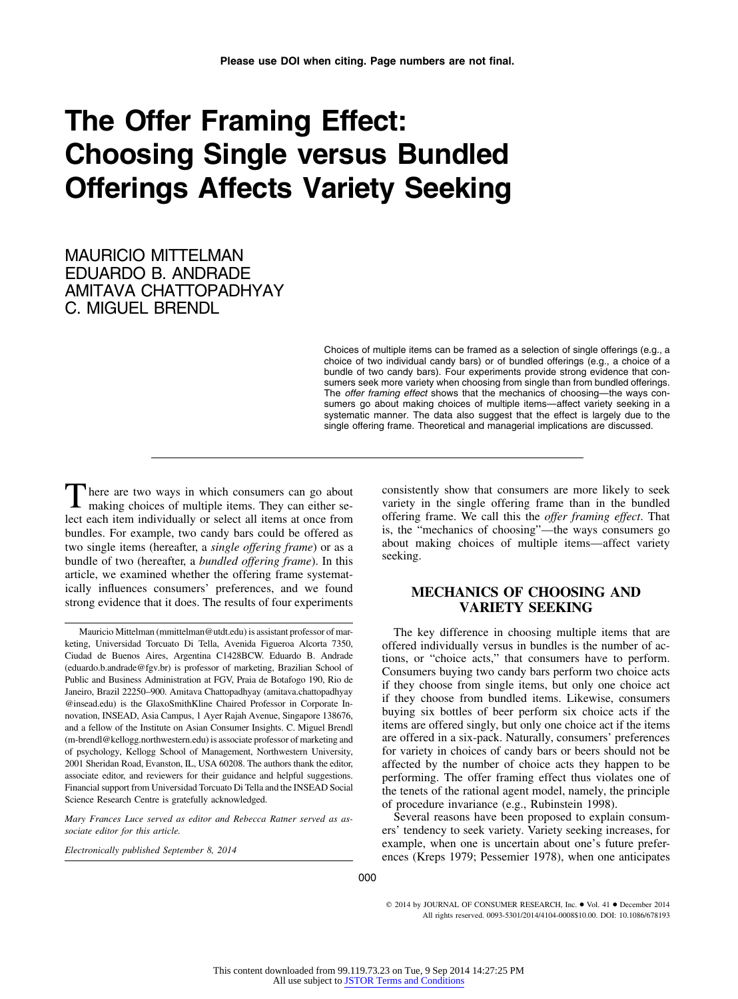# **The Offer Framing Effect: Choosing Single versus Bundled Offerings Affects Variety Seeking**

# MAURICIO MITTELMAN EDUARDO B. ANDRADE AMITAVA CHATTOPADHYAY C. MIGUEL BRENDL

Choices of multiple items can be framed as a selection of single offerings (e.g., a choice of two individual candy bars) or of bundled offerings (e.g., a choice of a bundle of two candy bars). Four experiments provide strong evidence that consumers seek more variety when choosing from single than from bundled offerings. The *offer framing effect* shows that the mechanics of choosing—the ways consumers go about making choices of multiple items—affect variety seeking in a systematic manner. The data also suggest that the effect is largely due to the single offering frame. Theoretical and managerial implications are discussed.

There are two ways in which consumers can go about making choices of multiple items. They can either select each item individually or select all items at once from bundles. For example, two candy bars could be offered as two single items (hereafter, a *single offering frame*) or as a bundle of two (hereafter, a *bundled offering frame*). In this article, we examined whether the offering frame systematically influences consumers' preferences, and we found strong evidence that it does. The results of four experiments

Mauricio Mittelman [\(mmittelman@utdt.edu\)](mailto:mmittelman@utdt.edu) is assistant professor of marketing, Universidad Torcuato Di Tella, Avenida Figueroa Alcorta 7350, Ciudad de Buenos Aires, Argentina C1428BCW. Eduardo B. Andrade [\(eduardo.b.andrade@fgv.br\)](mailto:eduardo.b.andrade@fgv.br) is professor of marketing, Brazilian School of Public and Business Administration at FGV, Praia de Botafogo 190, Rio de Janeiro, Brazil 22250–900. Amitava Chattopadhyay [\(amitava.chattopadhyay](mailto:amitava.chattopadhyay@insead.edu) [@insead.edu\)](mailto:amitava.chattopadhyay@insead.edu) is the GlaxoSmithKline Chaired Professor in Corporate Innovation, INSEAD, Asia Campus, 1 Ayer Rajah Avenue, Singapore 138676, and a fellow of the Institute on Asian Consumer Insights. C. Miguel Brendl [\(m-brendl@kellogg.northwestern.edu\)](mailto:m-brendl@kellogg.northwestern.edu) is associate professor of marketing and of psychology, Kellogg School of Management, Northwestern University, 2001 Sheridan Road, Evanston, IL, USA 60208. The authors thank the editor, associate editor, and reviewers for their guidance and helpful suggestions. Financial support from Universidad Torcuato Di Tella and the INSEAD Social Science Research Centre is gratefully acknowledged.

*Mary Frances Luce served as editor and Rebecca Ratner served as associate editor for this article.*

*Electronically published September 8, 2014*

consistently show that consumers are more likely to seek variety in the single offering frame than in the bundled offering frame. We call this the *offer framing effect*. That is, the "mechanics of choosing"—the ways consumers go about making choices of multiple items—affect variety seeking.

# **MECHANICS OF CHOOSING AND VARIETY SEEKING**

The key difference in choosing multiple items that are offered individually versus in bundles is the number of actions, or "choice acts," that consumers have to perform. Consumers buying two candy bars perform two choice acts if they choose from single items, but only one choice act if they choose from bundled items. Likewise, consumers buying six bottles of beer perform six choice acts if the items are offered singly, but only one choice act if the items are offered in a six-pack. Naturally, consumers' preferences for variety in choices of candy bars or beers should not be affected by the number of choice acts they happen to be performing. The offer framing effect thus violates one of the tenets of the rational agent model, namely, the principle of procedure invariance (e.g., Rubinstein 1998).

Several reasons have been proposed to explain consumers' tendency to seek variety. Variety seeking increases, for example, when one is uncertain about one's future preferences (Kreps 1979; Pessemier 1978), when one anticipates

000

<sup>© 2014</sup> by JOURNAL OF CONSUMER RESEARCH, Inc. • Vol. 41 • December 2014 All rights reserved. 0093-5301/2014/4104-0008\$10.00. DOI: 10.1086/678193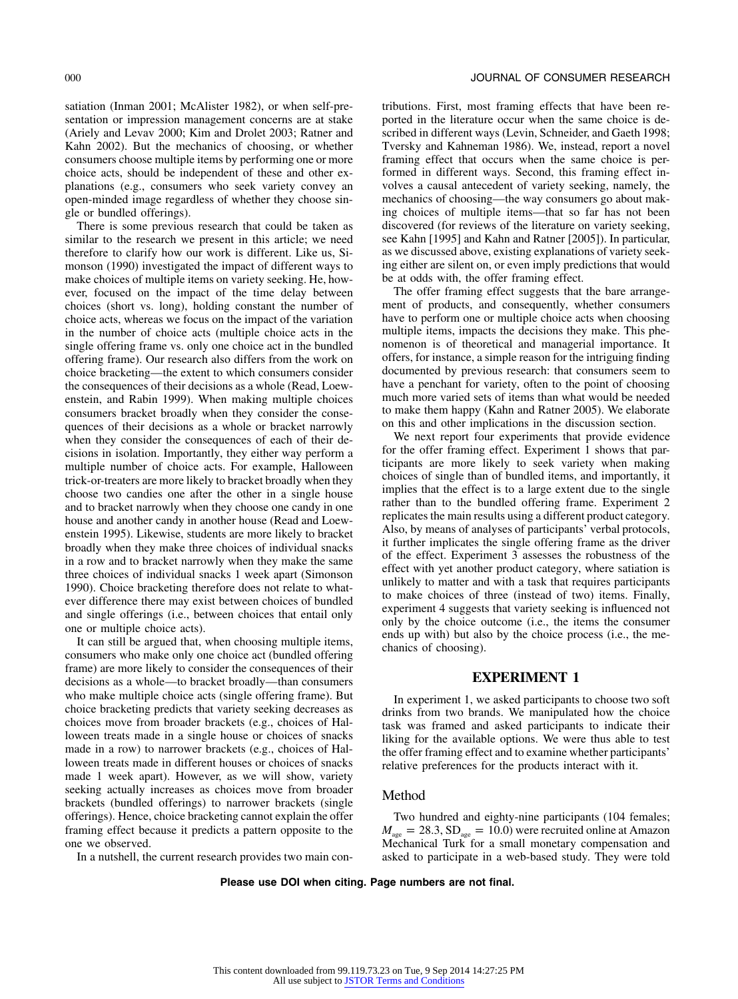satiation (Inman 2001; McAlister 1982), or when self-presentation or impression management concerns are at stake (Ariely and Levav 2000; Kim and Drolet 2003; Ratner and Kahn 2002). But the mechanics of choosing, or whether consumers choose multiple items by performing one or more choice acts, should be independent of these and other explanations (e.g., consumers who seek variety convey an open-minded image regardless of whether they choose single or bundled offerings).

There is some previous research that could be taken as similar to the research we present in this article; we need therefore to clarify how our work is different. Like us, Simonson (1990) investigated the impact of different ways to make choices of multiple items on variety seeking. He, however, focused on the impact of the time delay between choices (short vs. long), holding constant the number of choice acts, whereas we focus on the impact of the variation in the number of choice acts (multiple choice acts in the single offering frame vs. only one choice act in the bundled offering frame). Our research also differs from the work on choice bracketing—the extent to which consumers consider the consequences of their decisions as a whole (Read, Loewenstein, and Rabin 1999). When making multiple choices consumers bracket broadly when they consider the consequences of their decisions as a whole or bracket narrowly when they consider the consequences of each of their decisions in isolation. Importantly, they either way perform a multiple number of choice acts. For example, Halloween trick-or-treaters are more likely to bracket broadly when they choose two candies one after the other in a single house and to bracket narrowly when they choose one candy in one house and another candy in another house (Read and Loewenstein 1995). Likewise, students are more likely to bracket broadly when they make three choices of individual snacks in a row and to bracket narrowly when they make the same three choices of individual snacks 1 week apart (Simonson 1990). Choice bracketing therefore does not relate to whatever difference there may exist between choices of bundled and single offerings (i.e., between choices that entail only one or multiple choice acts).

It can still be argued that, when choosing multiple items, consumers who make only one choice act (bundled offering frame) are more likely to consider the consequences of their decisions as a whole—to bracket broadly—than consumers who make multiple choice acts (single offering frame). But choice bracketing predicts that variety seeking decreases as choices move from broader brackets (e.g., choices of Halloween treats made in a single house or choices of snacks made in a row) to narrower brackets (e.g., choices of Halloween treats made in different houses or choices of snacks made 1 week apart). However, as we will show, variety seeking actually increases as choices move from broader brackets (bundled offerings) to narrower brackets (single offerings). Hence, choice bracketing cannot explain the offer framing effect because it predicts a pattern opposite to the one we observed.

In a nutshell, the current research provides two main con-

tributions. First, most framing effects that have been reported in the literature occur when the same choice is described in different ways (Levin, Schneider, and Gaeth 1998; Tversky and Kahneman 1986). We, instead, report a novel framing effect that occurs when the same choice is performed in different ways. Second, this framing effect involves a causal antecedent of variety seeking, namely, the mechanics of choosing—the way consumers go about making choices of multiple items—that so far has not been discovered (for reviews of the literature on variety seeking, see Kahn [1995] and Kahn and Ratner [2005]). In particular, as we discussed above, existing explanations of variety seeking either are silent on, or even imply predictions that would be at odds with, the offer framing effect.

The offer framing effect suggests that the bare arrangement of products, and consequently, whether consumers have to perform one or multiple choice acts when choosing multiple items, impacts the decisions they make. This phenomenon is of theoretical and managerial importance. It offers, for instance, a simple reason for the intriguing finding documented by previous research: that consumers seem to have a penchant for variety, often to the point of choosing much more varied sets of items than what would be needed to make them happy (Kahn and Ratner 2005). We elaborate on this and other implications in the discussion section.

We next report four experiments that provide evidence for the offer framing effect. Experiment 1 shows that participants are more likely to seek variety when making choices of single than of bundled items, and importantly, it implies that the effect is to a large extent due to the single rather than to the bundled offering frame. Experiment 2 replicates the main results using a different product category. Also, by means of analyses of participants' verbal protocols, it further implicates the single offering frame as the driver of the effect. Experiment 3 assesses the robustness of the effect with yet another product category, where satiation is unlikely to matter and with a task that requires participants to make choices of three (instead of two) items. Finally, experiment 4 suggests that variety seeking is influenced not only by the choice outcome (i.e., the items the consumer ends up with) but also by the choice process (i.e., the mechanics of choosing).

### **EXPERIMENT 1**

In experiment 1, we asked participants to choose two soft drinks from two brands. We manipulated how the choice task was framed and asked participants to indicate their liking for the available options. We were thus able to test the offer framing effect and to examine whether participants' relative preferences for the products interact with it.

# Method

Two hundred and eighty-nine participants (104 females;  $M_{\text{age}} = 28.3$ ,  $SD_{\text{age}} = 10.0$ ) were recruited online at Amazon Mechanical Turk for a small monetary compensation and asked to participate in a web-based study. They were told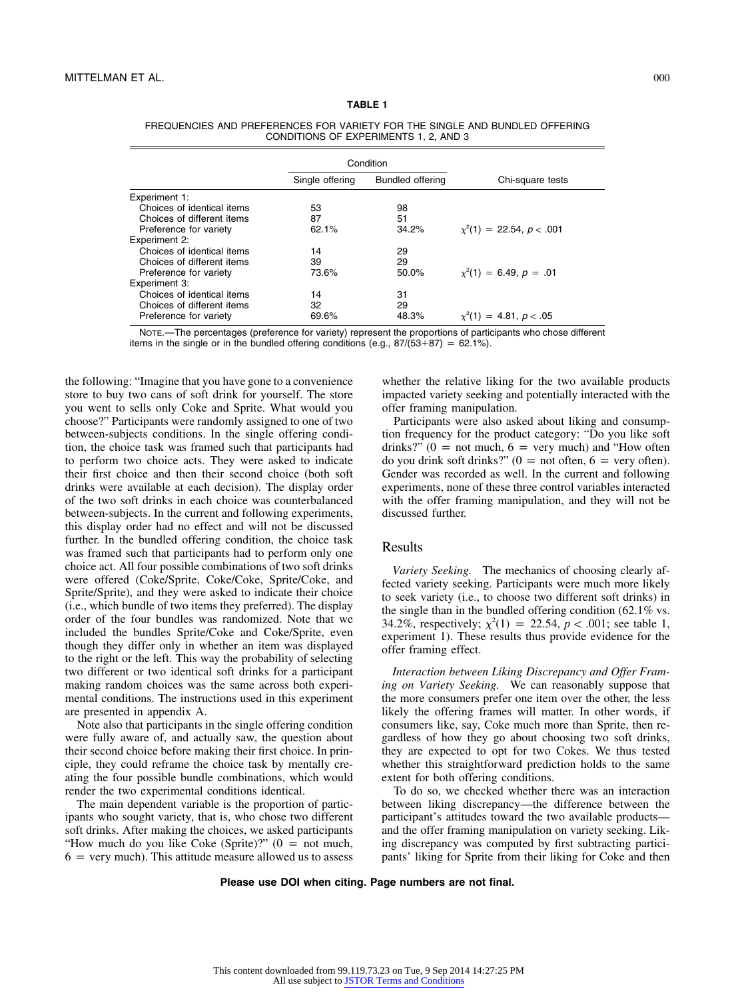|                            | Condition       |                         |                            |
|----------------------------|-----------------|-------------------------|----------------------------|
|                            | Single offering | <b>Bundled offering</b> | Chi-square tests           |
| Experiment 1:              |                 |                         |                            |
| Choices of identical items | 53              | 98                      |                            |
| Choices of different items | 87              | 51                      |                            |
| Preference for variety     | 62.1%           | 34.2%                   | $x^2(1) = 22.54, p < .001$ |
| Experiment 2:              |                 |                         |                            |
| Choices of identical items | 14              | 29                      |                            |
| Choices of different items | 39              | 29                      |                            |
| Preference for variety     | 73.6%           | 50.0%                   | $x^2(1) = 6.49, p = .01$   |
| Experiment 3:              |                 |                         |                            |
| Choices of identical items | 14              | 31                      |                            |
| Choices of different items | 32              | 29                      |                            |
| Preference for variety     | 69.6%           | 48.3%                   | $x^2(1) = 4.81, p < .05$   |

**TABLE 1**

NOTE.—The percentages (preference for variety) represent the proportions of participants who chose different items in the single or in the bundled offering conditions (e.g.,  $87/(53+87) = 62.1\%).$ 

the following: "Imagine that you have gone to a convenience store to buy two cans of soft drink for yourself. The store you went to sells only Coke and Sprite. What would you choose?" Participants were randomly assigned to one of two between-subjects conditions. In the single offering condition, the choice task was framed such that participants had to perform two choice acts. They were asked to indicate their first choice and then their second choice (both soft drinks were available at each decision). The display order of the two soft drinks in each choice was counterbalanced between-subjects. In the current and following experiments, this display order had no effect and will not be discussed further. In the bundled offering condition, the choice task was framed such that participants had to perform only one choice act. All four possible combinations of two soft drinks were offered (Coke/Sprite, Coke/Coke, Sprite/Coke, and Sprite/Sprite), and they were asked to indicate their choice (i.e., which bundle of two items they preferred). The display order of the four bundles was randomized. Note that we included the bundles Sprite/Coke and Coke/Sprite, even though they differ only in whether an item was displayed to the right or the left. This way the probability of selecting two different or two identical soft drinks for a participant making random choices was the same across both experimental conditions. The instructions used in this experiment are presented in appendix A.

Note also that participants in the single offering condition were fully aware of, and actually saw, the question about their second choice before making their first choice. In principle, they could reframe the choice task by mentally creating the four possible bundle combinations, which would render the two experimental conditions identical.

The main dependent variable is the proportion of participants who sought variety, that is, who chose two different soft drinks. After making the choices, we asked participants "How much do you like Coke (Sprite)?"  $(0 =$  not much,  $6 =$  very much). This attitude measure allowed us to assess

whether the relative liking for the two available products impacted variety seeking and potentially interacted with the offer framing manipulation.

Participants were also asked about liking and consumption frequency for the product category: "Do you like soft drinks?"  $(0 =$  not much,  $6 =$  very much) and "How often do you drink soft drinks?" ( $0 =$  not often,  $6 =$  very often). Gender was recorded as well. In the current and following experiments, none of these three control variables interacted with the offer framing manipulation, and they will not be discussed further.

#### Results

*Variety Seeking.* The mechanics of choosing clearly affected variety seeking. Participants were much more likely to seek variety (i.e., to choose two different soft drinks) in the single than in the bundled offering condition (62.1% vs. 34.2%, respectively;  $\chi^2(1) = 22.54$ ,  $p < .001$ ; see table 1, experiment 1). These results thus provide evidence for the offer framing effect.

*Interaction between Liking Discrepancy and Offer Framing on Variety Seeking.* We can reasonably suppose that the more consumers prefer one item over the other, the less likely the offering frames will matter. In other words, if consumers like, say, Coke much more than Sprite, then regardless of how they go about choosing two soft drinks, they are expected to opt for two Cokes. We thus tested whether this straightforward prediction holds to the same extent for both offering conditions.

To do so, we checked whether there was an interaction between liking discrepancy—the difference between the participant's attitudes toward the two available products and the offer framing manipulation on variety seeking. Liking discrepancy was computed by first subtracting participants' liking for Sprite from their liking for Coke and then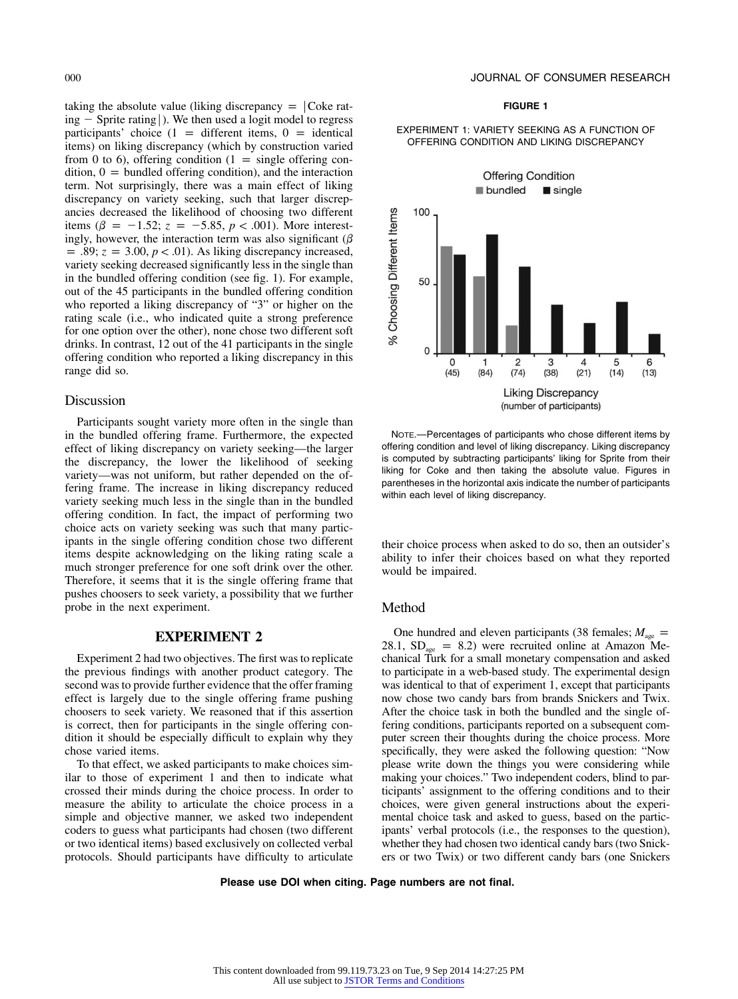taking the absolute value (liking discrepancy  $=$   $|Coker$  rat $ing -$  Sprite rating  $\vert$ ). We then used a logit model to regress participants' choice  $(1 =$  different items,  $0 =$  identical items) on liking discrepancy (which by construction varied from 0 to 6), offering condition  $(1 - \text{single offering con-})$ dition,  $0 =$  bundled offering condition), and the interaction term. Not surprisingly, there was a main effect of liking discrepancy on variety seeking, such that larger discrepancies decreased the likelihood of choosing two different items ( $\beta = -1.52$ ;  $z = -5.85$ ,  $p < .001$ ). More interestingly, however, the interaction term was also significant  $(\beta$  $p = .89$ ;  $z = 3.00$ ,  $p < .01$ ). As liking discrepancy increased, variety seeking decreased significantly less in the single than in the bundled offering condition (see fig. 1). For example, out of the 45 participants in the bundled offering condition who reported a liking discrepancy of "3" or higher on the rating scale (i.e., who indicated quite a strong preference for one option over the other), none chose two different soft drinks. In contrast, 12 out of the 41 participants in the single offering condition who reported a liking discrepancy in this range did so.

# Discussion

Participants sought variety more often in the single than in the bundled offering frame. Furthermore, the expected effect of liking discrepancy on variety seeking—the larger the discrepancy, the lower the likelihood of seeking variety—was not uniform, but rather depended on the offering frame. The increase in liking discrepancy reduced variety seeking much less in the single than in the bundled offering condition. In fact, the impact of performing two choice acts on variety seeking was such that many participants in the single offering condition chose two different items despite acknowledging on the liking rating scale a much stronger preference for one soft drink over the other. Therefore, it seems that it is the single offering frame that pushes choosers to seek variety, a possibility that we further probe in the next experiment.

# **EXPERIMENT 2**

Experiment 2 had two objectives. The first was to replicate the previous findings with another product category. The second was to provide further evidence that the offer framing effect is largely due to the single offering frame pushing choosers to seek variety. We reasoned that if this assertion is correct, then for participants in the single offering condition it should be especially difficult to explain why they chose varied items.

To that effect, we asked participants to make choices similar to those of experiment 1 and then to indicate what crossed their minds during the choice process. In order to measure the ability to articulate the choice process in a simple and objective manner, we asked two independent coders to guess what participants had chosen (two different or two identical items) based exclusively on collected verbal protocols. Should participants have difficulty to articulate

#### 000 JOURNAL OF CONSUMER RESEARCH

#### **FIGURE 1**

#### EXPERIMENT 1: VARIETY SEEKING AS A FUNCTION OF OFFERING CONDITION AND LIKING DISCREPANCY



NOTE.—Percentages of participants who chose different items by offering condition and level of liking discrepancy. Liking discrepancy is computed by subtracting participants' liking for Sprite from their liking for Coke and then taking the absolute value. Figures in parentheses in the horizontal axis indicate the number of participants within each level of liking discrepancy.

their choice process when asked to do so, then an outsider's ability to infer their choices based on what they reported would be impaired.

#### Method

One hundred and eleven participants (38 females;  $M_{\text{ase}} =$ 28.1,  $SD<sub>age</sub> = 8.2$ ) were recruited online at Amazon Mechanical Turk for a small monetary compensation and asked to participate in a web-based study. The experimental design was identical to that of experiment 1, except that participants now chose two candy bars from brands Snickers and Twix. After the choice task in both the bundled and the single offering conditions, participants reported on a subsequent computer screen their thoughts during the choice process. More specifically, they were asked the following question: "Now please write down the things you were considering while making your choices." Two independent coders, blind to participants' assignment to the offering conditions and to their choices, were given general instructions about the experimental choice task and asked to guess, based on the participants' verbal protocols (i.e., the responses to the question), whether they had chosen two identical candy bars (two Snickers or two Twix) or two different candy bars (one Snickers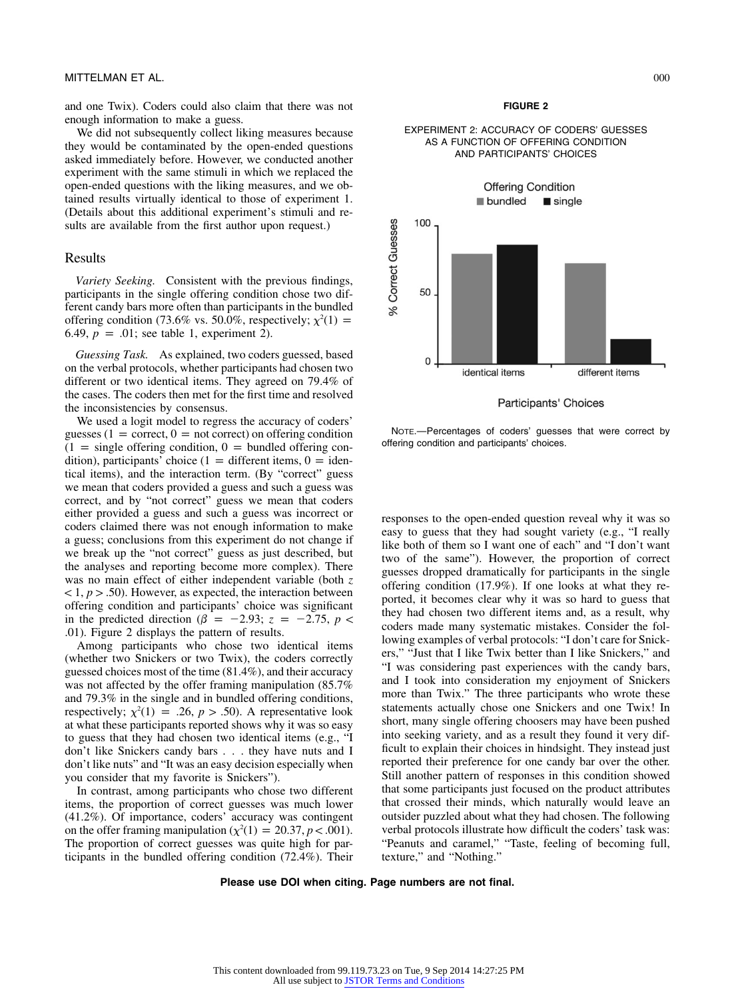and one Twix). Coders could also claim that there was not enough information to make a guess.

We did not subsequently collect liking measures because they would be contaminated by the open-ended questions asked immediately before. However, we conducted another experiment with the same stimuli in which we replaced the open-ended questions with the liking measures, and we obtained results virtually identical to those of experiment 1. (Details about this additional experiment's stimuli and results are available from the first author upon request.)

#### Results

*Variety Seeking.* Consistent with the previous findings, participants in the single offering condition chose two different candy bars more often than participants in the bundled offering condition (73.6% vs. 50.0%, respectively;  $\chi^2(1) =$ 6.49,  $p = .01$ ; see table 1, experiment 2).

*Guessing Task.* As explained, two coders guessed, based on the verbal protocols, whether participants had chosen two different or two identical items. They agreed on 79.4% of the cases. The coders then met for the first time and resolved the inconsistencies by consensus.

We used a logit model to regress the accuracy of coders' guesses (1 = correct,  $0 =$  not correct) on offering condition  $(1 = \text{single offering condition}, 0 = \text{bundle offering condition})$ dition), participants' choice (1 = different items, 0 = identical items), and the interaction term. (By "correct" guess we mean that coders provided a guess and such a guess was correct, and by "not correct" guess we mean that coders either provided a guess and such a guess was incorrect or coders claimed there was not enough information to make a guess; conclusions from this experiment do not change if we break up the "not correct" guess as just described, but the analyses and reporting become more complex). There was no main effect of either independent variable (both *z*  $< 1, p > .50$ ). However, as expected, the interaction between offering condition and participants' choice was significant in the predicted direction ( $\beta$  = -2.93;  $z$  = -2.75,  $p$  < .01). Figure 2 displays the pattern of results.

Among participants who chose two identical items (whether two Snickers or two Twix), the coders correctly guessed choices most of the time (81.4%), and their accuracy was not affected by the offer framing manipulation (85.7% and 79.3% in the single and in bundled offering conditions, respectively;  $\chi^2(1) = .26$ ,  $p > .50$ ). A representative look at what these participants reported shows why it was so easy to guess that they had chosen two identical items (e.g., "I don't like Snickers candy bars . . . they have nuts and I don't like nuts" and "It was an easy decision especially when you consider that my favorite is Snickers").

In contrast, among participants who chose two different items, the proportion of correct guesses was much lower (41.2%). Of importance, coders' accuracy was contingent on the offer framing manipulation ( $\chi^2(1) = 20.37, p < .001$ ). The proportion of correct guesses was quite high for participants in the bundled offering condition (72.4%). Their

#### **FIGURE 2**

# EXPERIMENT 2: ACCURACY OF CODERS' GUESSES AS A FUNCTION OF OFFERING CONDITION AND PARTICIPANTS' CHOICES



Participants' Choices

NOTE.—Percentages of coders' guesses that were correct by offering condition and participants' choices.

responses to the open-ended question reveal why it was so easy to guess that they had sought variety (e.g., "I really like both of them so I want one of each" and "I don't want two of the same"). However, the proportion of correct guesses dropped dramatically for participants in the single offering condition (17.9%). If one looks at what they reported, it becomes clear why it was so hard to guess that they had chosen two different items and, as a result, why coders made many systematic mistakes. Consider the following examples of verbal protocols: "I don't care for Snickers," "Just that I like Twix better than I like Snickers," and "I was considering past experiences with the candy bars, and I took into consideration my enjoyment of Snickers more than Twix." The three participants who wrote these statements actually chose one Snickers and one Twix! In short, many single offering choosers may have been pushed into seeking variety, and as a result they found it very difficult to explain their choices in hindsight. They instead just reported their preference for one candy bar over the other. Still another pattern of responses in this condition showed that some participants just focused on the product attributes that crossed their minds, which naturally would leave an outsider puzzled about what they had chosen. The following verbal protocols illustrate how difficult the coders' task was: "Peanuts and caramel," "Taste, feeling of becoming full, texture," and "Nothing."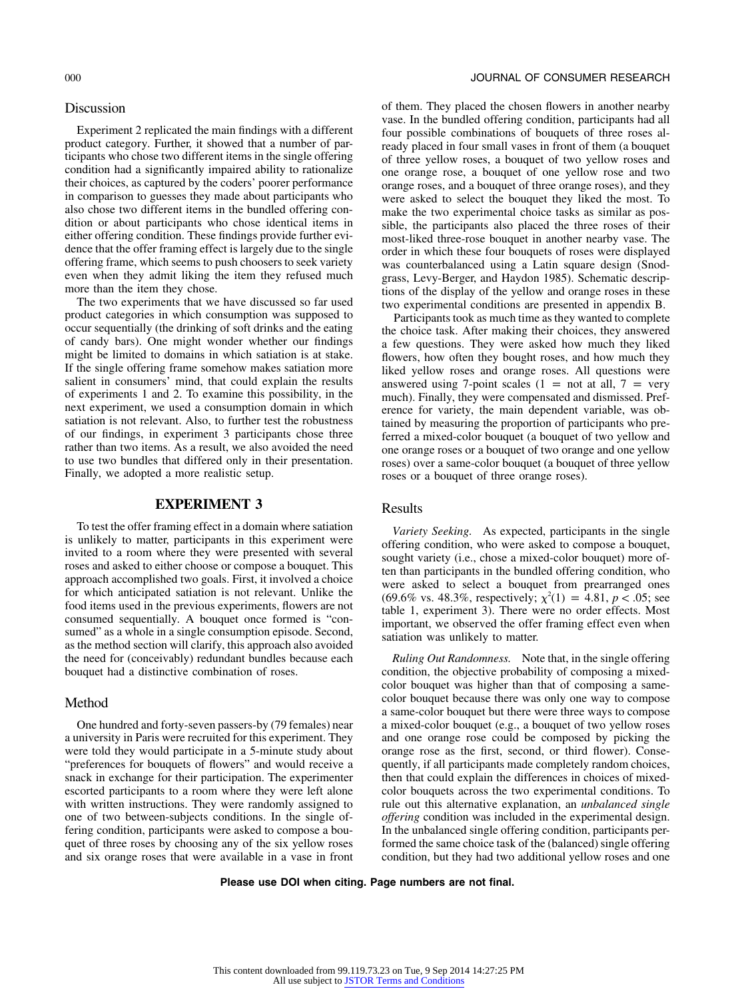### Discussion

Experiment 2 replicated the main findings with a different product category. Further, it showed that a number of participants who chose two different items in the single offering condition had a significantly impaired ability to rationalize their choices, as captured by the coders' poorer performance in comparison to guesses they made about participants who also chose two different items in the bundled offering condition or about participants who chose identical items in either offering condition. These findings provide further evidence that the offer framing effect is largely due to the single offering frame, which seems to push choosers to seek variety even when they admit liking the item they refused much more than the item they chose.

The two experiments that we have discussed so far used product categories in which consumption was supposed to occur sequentially (the drinking of soft drinks and the eating of candy bars). One might wonder whether our findings might be limited to domains in which satiation is at stake. If the single offering frame somehow makes satiation more salient in consumers' mind, that could explain the results of experiments 1 and 2. To examine this possibility, in the next experiment, we used a consumption domain in which satiation is not relevant. Also, to further test the robustness of our findings, in experiment 3 participants chose three rather than two items. As a result, we also avoided the need to use two bundles that differed only in their presentation. Finally, we adopted a more realistic setup.

#### **EXPERIMENT 3**

To test the offer framing effect in a domain where satiation is unlikely to matter, participants in this experiment were invited to a room where they were presented with several roses and asked to either choose or compose a bouquet. This approach accomplished two goals. First, it involved a choice for which anticipated satiation is not relevant. Unlike the food items used in the previous experiments, flowers are not consumed sequentially. A bouquet once formed is "consumed" as a whole in a single consumption episode. Second, as the method section will clarify, this approach also avoided the need for (conceivably) redundant bundles because each bouquet had a distinctive combination of roses.

#### Method

One hundred and forty-seven passers-by (79 females) near a university in Paris were recruited for this experiment. They were told they would participate in a 5-minute study about "preferences for bouquets of flowers" and would receive a snack in exchange for their participation. The experimenter escorted participants to a room where they were left alone with written instructions. They were randomly assigned to one of two between-subjects conditions. In the single offering condition, participants were asked to compose a bouquet of three roses by choosing any of the six yellow roses and six orange roses that were available in a vase in front of them. They placed the chosen flowers in another nearby vase. In the bundled offering condition, participants had all four possible combinations of bouquets of three roses already placed in four small vases in front of them (a bouquet of three yellow roses, a bouquet of two yellow roses and one orange rose, a bouquet of one yellow rose and two orange roses, and a bouquet of three orange roses), and they were asked to select the bouquet they liked the most. To make the two experimental choice tasks as similar as possible, the participants also placed the three roses of their most-liked three-rose bouquet in another nearby vase. The order in which these four bouquets of roses were displayed was counterbalanced using a Latin square design (Snodgrass, Levy-Berger, and Haydon 1985). Schematic descriptions of the display of the yellow and orange roses in these two experimental conditions are presented in appendix B.

Participants took as much time as they wanted to complete the choice task. After making their choices, they answered a few questions. They were asked how much they liked flowers, how often they bought roses, and how much they liked yellow roses and orange roses. All questions were answered using 7-point scales (1 = not at all, 7 = very much). Finally, they were compensated and dismissed. Preference for variety, the main dependent variable, was obtained by measuring the proportion of participants who preferred a mixed-color bouquet (a bouquet of two yellow and one orange roses or a bouquet of two orange and one yellow roses) over a same-color bouquet (a bouquet of three yellow roses or a bouquet of three orange roses).

#### Results

*Variety Seeking.* As expected, participants in the single offering condition, who were asked to compose a bouquet, sought variety (i.e., chose a mixed-color bouquet) more often than participants in the bundled offering condition, who were asked to select a bouquet from prearranged ones  $(69.6\% \text{ vs. } 48.3\%, \text{ respectively}; \chi^2(1) = 4.81, p < .05; \text{ see}$ table 1, experiment 3). There were no order effects. Most important, we observed the offer framing effect even when satiation was unlikely to matter.

*Ruling Out Randomness.* Note that, in the single offering condition, the objective probability of composing a mixedcolor bouquet was higher than that of composing a samecolor bouquet because there was only one way to compose a same-color bouquet but there were three ways to compose a mixed-color bouquet (e.g., a bouquet of two yellow roses and one orange rose could be composed by picking the orange rose as the first, second, or third flower). Consequently, if all participants made completely random choices, then that could explain the differences in choices of mixedcolor bouquets across the two experimental conditions. To rule out this alternative explanation, an *unbalanced single offering* condition was included in the experimental design. In the unbalanced single offering condition, participants performed the same choice task of the (balanced) single offering condition, but they had two additional yellow roses and one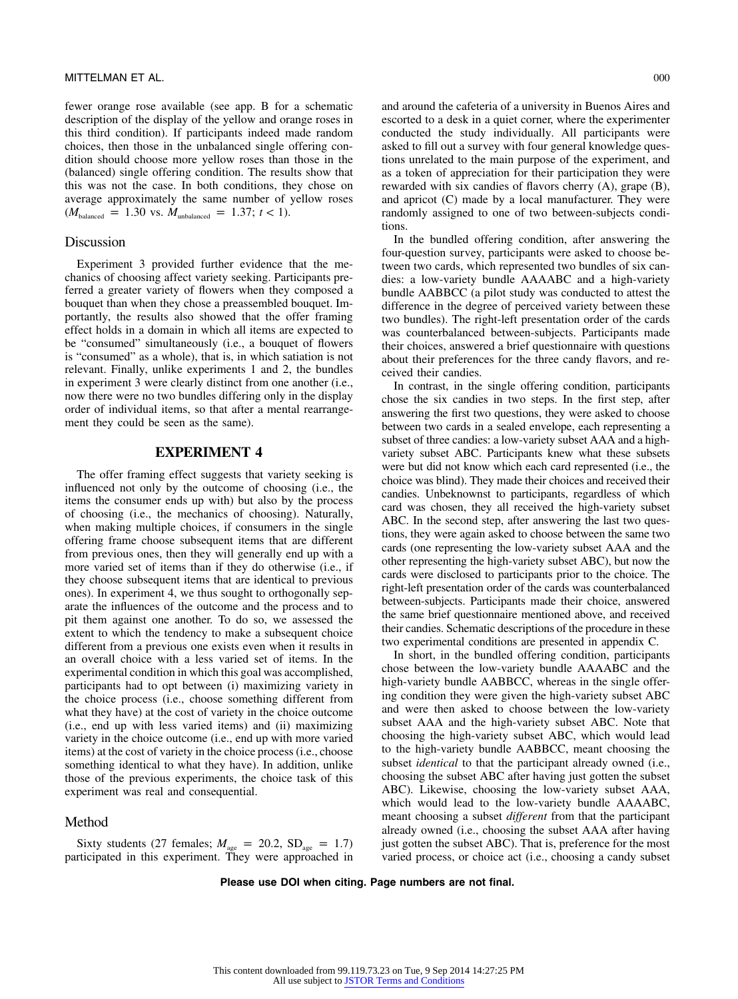fewer orange rose available (see app. B for a schematic description of the display of the yellow and orange roses in this third condition). If participants indeed made random choices, then those in the unbalanced single offering condition should choose more yellow roses than those in the (balanced) single offering condition. The results show that this was not the case. In both conditions, they chose on average approximately the same number of yellow roses  $(M_{\text{balanced}} = 1.30 \text{ vs. } M_{\text{unbalanced}} = 1.37; t < 1).$ 

#### Discussion

Experiment 3 provided further evidence that the mechanics of choosing affect variety seeking. Participants preferred a greater variety of flowers when they composed a bouquet than when they chose a preassembled bouquet. Importantly, the results also showed that the offer framing effect holds in a domain in which all items are expected to be "consumed" simultaneously (i.e., a bouquet of flowers is "consumed" as a whole), that is, in which satiation is not relevant. Finally, unlike experiments 1 and 2, the bundles in experiment 3 were clearly distinct from one another (i.e., now there were no two bundles differing only in the display order of individual items, so that after a mental rearrangement they could be seen as the same).

# **EXPERIMENT 4**

The offer framing effect suggests that variety seeking is influenced not only by the outcome of choosing (i.e., the items the consumer ends up with) but also by the process of choosing (i.e., the mechanics of choosing). Naturally, when making multiple choices, if consumers in the single offering frame choose subsequent items that are different from previous ones, then they will generally end up with a more varied set of items than if they do otherwise (i.e., if they choose subsequent items that are identical to previous ones). In experiment 4, we thus sought to orthogonally separate the influences of the outcome and the process and to pit them against one another. To do so, we assessed the extent to which the tendency to make a subsequent choice different from a previous one exists even when it results in an overall choice with a less varied set of items. In the experimental condition in which this goal was accomplished, participants had to opt between (i) maximizing variety in the choice process (i.e., choose something different from what they have) at the cost of variety in the choice outcome (i.e., end up with less varied items) and (ii) maximizing variety in the choice outcome (i.e., end up with more varied items) at the cost of variety in the choice process (i.e., choose something identical to what they have). In addition, unlike those of the previous experiments, the choice task of this experiment was real and consequential.

#### Method

Sixty students (27 females;  $M_{\text{age}} = 20.2$ , SD<sub>age</sub> = 1.7) participated in this experiment. They were approached in and around the cafeteria of a university in Buenos Aires and escorted to a desk in a quiet corner, where the experimenter conducted the study individually. All participants were asked to fill out a survey with four general knowledge questions unrelated to the main purpose of the experiment, and as a token of appreciation for their participation they were rewarded with six candies of flavors cherry (A), grape (B), and apricot (C) made by a local manufacturer. They were randomly assigned to one of two between-subjects conditions.

In the bundled offering condition, after answering the four-question survey, participants were asked to choose between two cards, which represented two bundles of six candies: a low-variety bundle AAAABC and a high-variety bundle AABBCC (a pilot study was conducted to attest the difference in the degree of perceived variety between these two bundles). The right-left presentation order of the cards was counterbalanced between-subjects. Participants made their choices, answered a brief questionnaire with questions about their preferences for the three candy flavors, and received their candies.

In contrast, in the single offering condition, participants chose the six candies in two steps. In the first step, after answering the first two questions, they were asked to choose between two cards in a sealed envelope, each representing a subset of three candies: a low-variety subset AAA and a highvariety subset ABC. Participants knew what these subsets were but did not know which each card represented (i.e., the choice was blind). They made their choices and received their candies. Unbeknownst to participants, regardless of which card was chosen, they all received the high-variety subset ABC. In the second step, after answering the last two questions, they were again asked to choose between the same two cards (one representing the low-variety subset AAA and the other representing the high-variety subset ABC), but now the cards were disclosed to participants prior to the choice. The right-left presentation order of the cards was counterbalanced between-subjects. Participants made their choice, answered the same brief questionnaire mentioned above, and received their candies. Schematic descriptions of the procedure in these two experimental conditions are presented in appendix C.

In short, in the bundled offering condition, participants chose between the low-variety bundle AAAABC and the high-variety bundle AABBCC, whereas in the single offering condition they were given the high-variety subset ABC and were then asked to choose between the low-variety subset AAA and the high-variety subset ABC. Note that choosing the high-variety subset ABC, which would lead to the high-variety bundle AABBCC, meant choosing the subset *identical* to that the participant already owned (i.e., choosing the subset ABC after having just gotten the subset ABC). Likewise, choosing the low-variety subset AAA, which would lead to the low-variety bundle AAAABC, meant choosing a subset *different* from that the participant already owned (i.e., choosing the subset AAA after having just gotten the subset ABC). That is, preference for the most varied process, or choice act (i.e., choosing a candy subset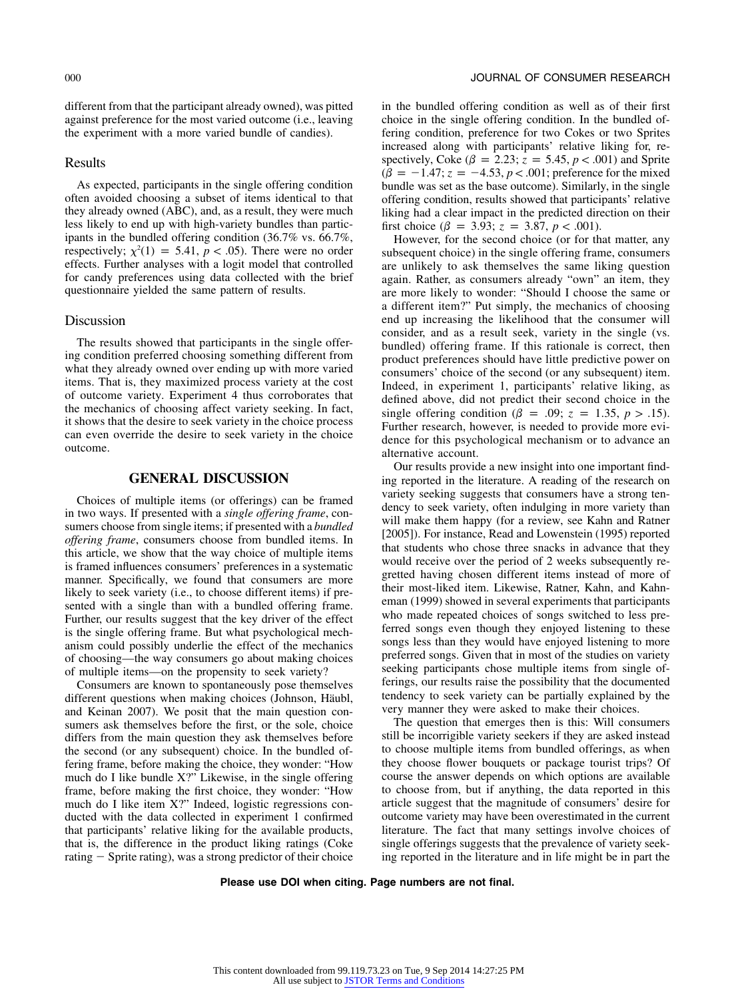different from that the participant already owned), was pitted against preference for the most varied outcome (i.e., leaving the experiment with a more varied bundle of candies).

#### Results

As expected, participants in the single offering condition often avoided choosing a subset of items identical to that they already owned (ABC), and, as a result, they were much less likely to end up with high-variety bundles than participants in the bundled offering condition (36.7% vs. 66.7%, respectively;  $\chi^2(1) = 5.41$ ,  $p < .05$ ). There were no order effects. Further analyses with a logit model that controlled for candy preferences using data collected with the brief questionnaire yielded the same pattern of results.

#### Discussion

The results showed that participants in the single offering condition preferred choosing something different from what they already owned over ending up with more varied items. That is, they maximized process variety at the cost of outcome variety. Experiment 4 thus corroborates that the mechanics of choosing affect variety seeking. In fact, it shows that the desire to seek variety in the choice process can even override the desire to seek variety in the choice outcome.

# **GENERAL DISCUSSION**

Choices of multiple items (or offerings) can be framed in two ways. If presented with a *single offering frame*, consumers choose from single items; if presented with a *bundled offering frame*, consumers choose from bundled items. In this article, we show that the way choice of multiple items is framed influences consumers' preferences in a systematic manner. Specifically, we found that consumers are more likely to seek variety (i.e., to choose different items) if presented with a single than with a bundled offering frame. Further, our results suggest that the key driver of the effect is the single offering frame. But what psychological mechanism could possibly underlie the effect of the mechanics of choosing—the way consumers go about making choices of multiple items—on the propensity to seek variety?

Consumers are known to spontaneously pose themselves different questions when making choices (Johnson, Häubl, and Keinan 2007). We posit that the main question consumers ask themselves before the first, or the sole, choice differs from the main question they ask themselves before the second (or any subsequent) choice. In the bundled offering frame, before making the choice, they wonder: "How much do I like bundle X?" Likewise, in the single offering frame, before making the first choice, they wonder: "How much do I like item X?" Indeed, logistic regressions conducted with the data collected in experiment 1 confirmed that participants' relative liking for the available products, that is, the difference in the product liking ratings (Coke rating  $-$  Sprite rating), was a strong predictor of their choice in the bundled offering condition as well as of their first choice in the single offering condition. In the bundled offering condition, preference for two Cokes or two Sprites increased along with participants' relative liking for, respectively, Coke ( $\beta = 2.23$ ;  $z = 5.45$ ,  $p < .001$ ) and Sprite  $(\beta = -1.47; z = -4.53, p < .001;$  preference for the mixed bundle was set as the base outcome). Similarly, in the single offering condition, results showed that participants' relative liking had a clear impact in the predicted direction on their first choice ( $\beta = 3.93$ ;  $z = 3.87$ ,  $p < .001$ ).

However, for the second choice (or for that matter, any subsequent choice) in the single offering frame, consumers are unlikely to ask themselves the same liking question again. Rather, as consumers already "own" an item, they are more likely to wonder: "Should I choose the same or a different item?" Put simply, the mechanics of choosing end up increasing the likelihood that the consumer will consider, and as a result seek, variety in the single (vs. bundled) offering frame. If this rationale is correct, then product preferences should have little predictive power on consumers' choice of the second (or any subsequent) item. Indeed, in experiment 1, participants' relative liking, as defined above, did not predict their second choice in the single offering condition ( $\beta = .09$ ;  $z = 1.35$ ,  $p > .15$ ). Further research, however, is needed to provide more evidence for this psychological mechanism or to advance an alternative account.

Our results provide a new insight into one important finding reported in the literature. A reading of the research on variety seeking suggests that consumers have a strong tendency to seek variety, often indulging in more variety than will make them happy (for a review, see Kahn and Ratner [2005]). For instance, Read and Lowenstein (1995) reported that students who chose three snacks in advance that they would receive over the period of 2 weeks subsequently regretted having chosen different items instead of more of their most-liked item. Likewise, Ratner, Kahn, and Kahneman (1999) showed in several experiments that participants who made repeated choices of songs switched to less preferred songs even though they enjoyed listening to these songs less than they would have enjoyed listening to more preferred songs. Given that in most of the studies on variety seeking participants chose multiple items from single offerings, our results raise the possibility that the documented tendency to seek variety can be partially explained by the very manner they were asked to make their choices.

The question that emerges then is this: Will consumers still be incorrigible variety seekers if they are asked instead to choose multiple items from bundled offerings, as when they choose flower bouquets or package tourist trips? Of course the answer depends on which options are available to choose from, but if anything, the data reported in this article suggest that the magnitude of consumers' desire for outcome variety may have been overestimated in the current literature. The fact that many settings involve choices of single offerings suggests that the prevalence of variety seeking reported in the literature and in life might be in part the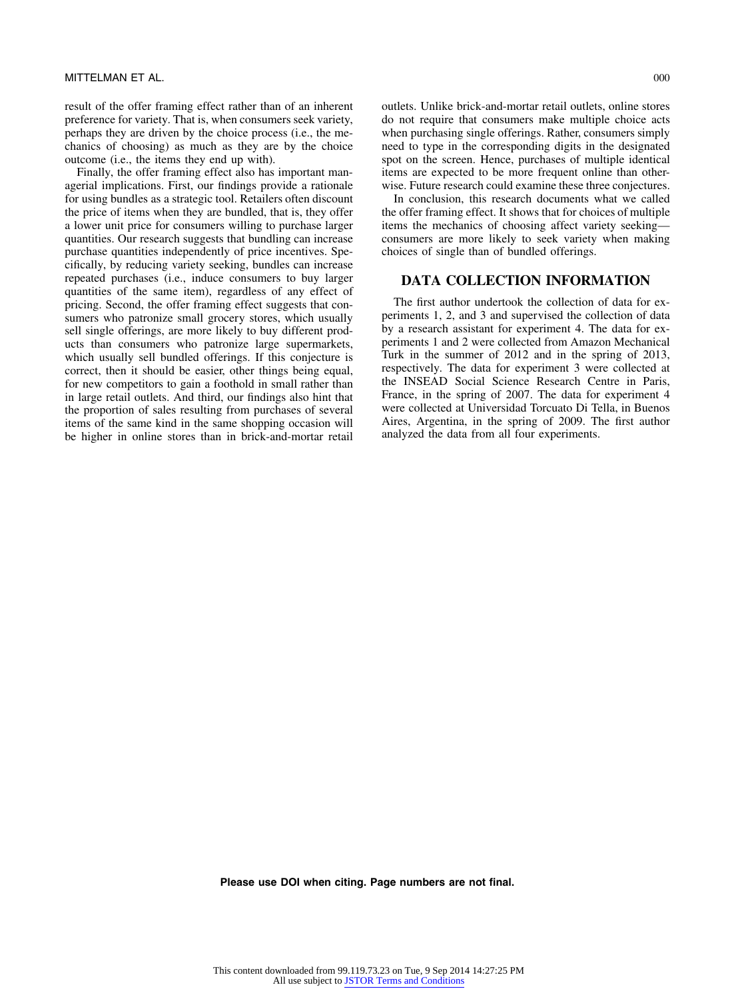result of the offer framing effect rather than of an inherent preference for variety. That is, when consumers seek variety, perhaps they are driven by the choice process (i.e., the mechanics of choosing) as much as they are by the choice outcome (i.e., the items they end up with).

Finally, the offer framing effect also has important managerial implications. First, our findings provide a rationale for using bundles as a strategic tool. Retailers often discount the price of items when they are bundled, that is, they offer a lower unit price for consumers willing to purchase larger quantities. Our research suggests that bundling can increase purchase quantities independently of price incentives. Specifically, by reducing variety seeking, bundles can increase repeated purchases (i.e., induce consumers to buy larger quantities of the same item), regardless of any effect of pricing. Second, the offer framing effect suggests that consumers who patronize small grocery stores, which usually sell single offerings, are more likely to buy different products than consumers who patronize large supermarkets, which usually sell bundled offerings. If this conjecture is correct, then it should be easier, other things being equal, for new competitors to gain a foothold in small rather than in large retail outlets. And third, our findings also hint that the proportion of sales resulting from purchases of several items of the same kind in the same shopping occasion will be higher in online stores than in brick-and-mortar retail outlets. Unlike brick-and-mortar retail outlets, online stores do not require that consumers make multiple choice acts when purchasing single offerings. Rather, consumers simply need to type in the corresponding digits in the designated spot on the screen. Hence, purchases of multiple identical items are expected to be more frequent online than otherwise. Future research could examine these three conjectures.

In conclusion, this research documents what we called the offer framing effect. It shows that for choices of multiple items the mechanics of choosing affect variety seeking consumers are more likely to seek variety when making choices of single than of bundled offerings.

# **DATA COLLECTION INFORMATION**

The first author undertook the collection of data for experiments 1, 2, and 3 and supervised the collection of data by a research assistant for experiment 4. The data for experiments 1 and 2 were collected from Amazon Mechanical Turk in the summer of 2012 and in the spring of 2013, respectively. The data for experiment 3 were collected at the INSEAD Social Science Research Centre in Paris, France, in the spring of 2007. The data for experiment 4 were collected at Universidad Torcuato Di Tella, in Buenos Aires, Argentina, in the spring of 2009. The first author analyzed the data from all four experiments.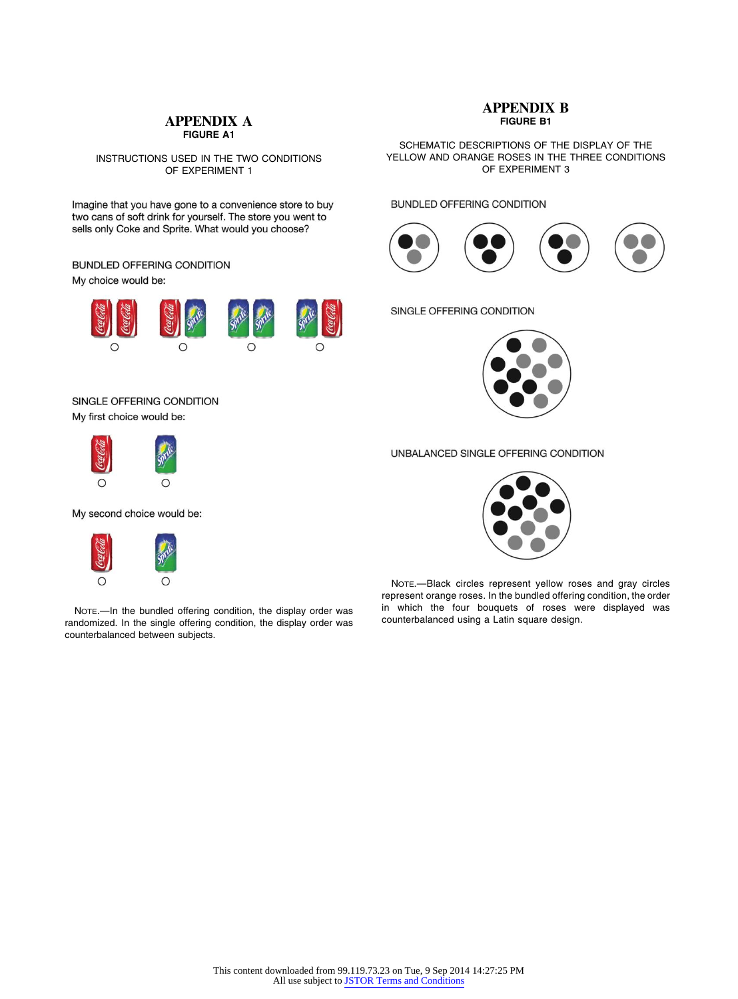### **APPENDIX A FIGURE A1**

#### INSTRUCTIONS USED IN THE TWO CONDITIONS OF EXPERIMENT 1

Imagine that you have gone to a convenience store to buy two cans of soft drink for yourself. The store you went to sells only Coke and Sprite. What would you choose?

#### **BUNDLED OFFERING CONDITION**

My choice would be:



# SINGLE OFFERING CONDITION My first choice would be:



My second choice would be:



NOTE.—In the bundled offering condition, the display order was randomized. In the single offering condition, the display order was counterbalanced between subjects.

#### **APPENDIX B FIGURE B1**

SCHEMATIC DESCRIPTIONS OF THE DISPLAY OF THE YELLOW AND ORANGE ROSES IN THE THREE CONDITIONS OF EXPERIMENT 3

#### **BUNDLED OFFERING CONDITION**



#### SINGLE OFFERING CONDITION





#### UNBALANCED SINGLE OFFERING CONDITION



NOTE.—Black circles represent yellow roses and gray circles represent orange roses. In the bundled offering condition, the order in which the four bouquets of roses were displayed was counterbalanced using a Latin square design.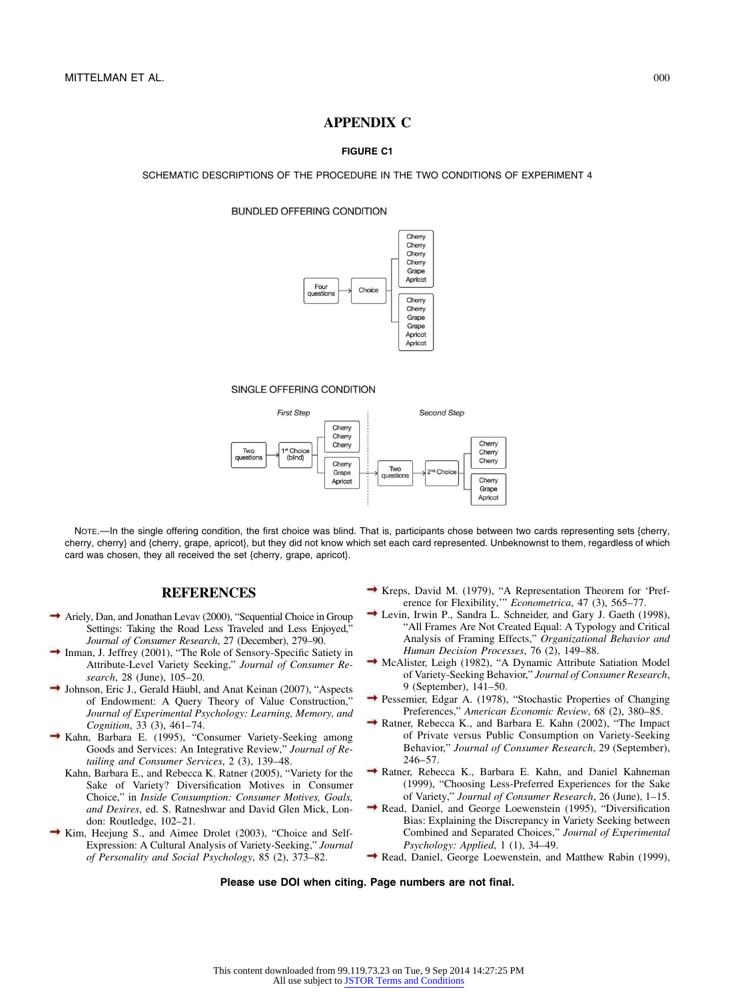# **APPENDIX C**

#### **FIGURE C1**

#### SCHEMATIC DESCRIPTIONS OF THE PROCEDURE IN THE TWO CONDITIONS OF EXPERIMENT 4

#### BUNDLED OFFERING CONDITION



#### SINGLE OFFERING CONDITION



NOTE.—In the single offering condition, the first choice was blind. That is, participants chose between two cards representing sets {cherry, cherry, cherry} and {cherry, grape, apricot}, but they did not know which set each card represented. Unbeknownst to them, regardless of which card was chosen, they all received the set {cherry, grape, apricot}.

# **REFERENCES**

- Ariely, Dan, and Jonathan Levav (2000), "Sequential Choice in Group Settings: Taking the Road Less Traveled and Less Enjoyed," *Journal of Consumer Research*, 27 (December), 279–90.
- Inman, J. Jeffrey (2001), "The Role of Sensory-Specific Satiety in Attribute-Level Variety Seeking," *Journal of Consumer Research*, 28 (June), 105–20.
- → Johnson, Eric J., Gerald Häubl, and Anat Keinan (2007), "Aspects of Endowment: A Query Theory of Value Construction," *Journal of Experimental Psychology: Learning, Memory, and Cognition*, 33 (3), 461–74.
- Kahn, Barbara E. (1995), "Consumer Variety-Seeking among Goods and Services: An Integrative Review," *Journal of Retailing and Consumer Services*, 2 (3), 139–48.
	- Kahn, Barbara E., and Rebecca K. Ratner (2005), "Variety for the Sake of Variety? Diversification Motives in Consumer Choice," in *Inside Consumption: Consumer Motives, Goals, and Desires*, ed. S. Ratneshwar and David Glen Mick, London: Routledge, 102–21.
- Kim, Heejung S., and Aimee Drolet (2003), "Choice and Self-Expression: A Cultural Analysis of Variety-Seeking," *Journal of Personality and Social Psychology*, 85 (2), 373–82.
- Kreps, David M. (1979), "A Representation Theorem for 'Preference for Flexibility,'" *Econometrica*, 47 (3), 565–77.
- Levin, Irwin P., Sandra L. Schneider, and Gary J. Gaeth (1998), "All Frames Are Not Created Equal: A Typology and Critical Analysis of Framing Effects," *Organizational Behavior and Human Decision Processes*, 76 (2), 149–88.
- $\rightarrow$  McAlister, Leigh (1982), "A Dynamic Attribute Satiation Model of Variety-Seeking Behavior," *Journal of Consumer Research*, 9 (September), 141–50.
- Pessemier, Edgar A. (1978), "Stochastic Properties of Changing Preferences," *American Economic Review*, 68 (2), 380–85.
- Ratner, Rebecca K., and Barbara E. Kahn (2002), "The Impact of Private versus Public Consumption on Variety-Seeking Behavior," *Journal of Consumer Research*, 29 (September), 246–57.
- Ratner, Rebecca K., Barbara E. Kahn, and Daniel Kahneman (1999), "Choosing Less-Preferred Experiences for the Sake of Variety," *Journal of Consumer Research*, 26 (June), 1–15.
- Read, Daniel, and George Loewenstein (1995), "Diversification Bias: Explaining the Discrepancy in Variety Seeking between Combined and Separated Choices," *Journal of Experimental Psychology: Applied*, 1 (1), 34–49.
- Read, Daniel, George Loewenstein, and Matthew Rabin (1999),